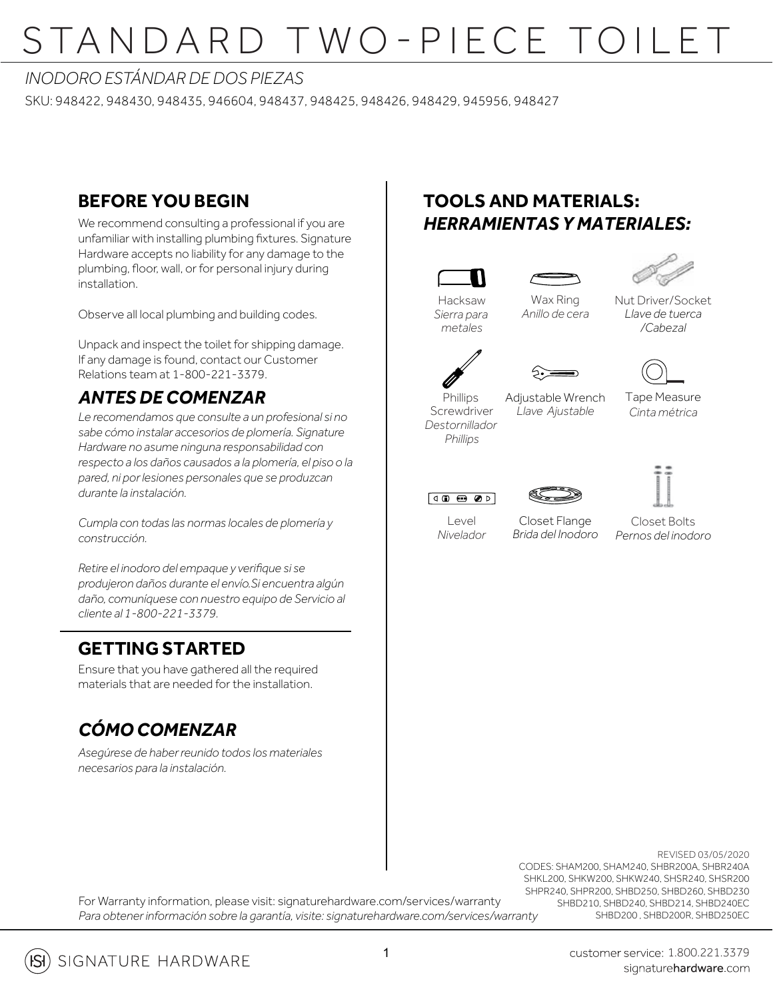### *INODORO ESTÁNDAR DE DOS PIEZAS*

SKU: 948422, 948430, 948435, 946604, 948437, 948425, 948426, 948429, 945956, 948427 A

### **BEFORE YOU BEGIN**

We recommend consulting a professional if you are unfamiliar with installing plumbing fixtures. Signature Hardware accepts no liability for any damage to the plumbing, floor, wall, or for personal injury during installation.

Observe all local plumbing and building codes.

Unpack and inspect the toilet for shipping damage. If any damage is found, contact our Customer Relations team at 1-800-221-3379.

### *ANTES DE COMENZAR*

*Le recomendamos que consulte a un profesional si no sabe cómo instalar accesorios de plomería. Signature Hardware no asume ninguna responsabilidad con respecto a los daños causados a la plomería, el piso o la pared, ni por lesiones personales que se produzcan durante la instalación.*

*Cumpla con todas las normas locales de plomería y construcción.*

*Retire el inodoro del empaque y verifique si se produjeron daños durante el envío.Si encuentra algún daño, comuníquese con nuestro equipo de Servicio al cliente al 1-800-221-3379.*

#### **GETTING STARTED**

Ensure that you have gathered all the required materials that are needed for the installation.

### *CÓMO COMENZAR*

*Asegúrese de haber reunido todos los materiales necesarios para la instalación.*

### **TOOLS AND MATERIALS:** *HERRAMIENTAS Y MATERIALES:*

Wax Ring *Anillo de cera*

Adjustable Wrench *Llave Ajustable*



*Sierra para metales*



Nut Driver/Socket *Llave de tuerca /Cabezal*



Screwdriver *Destornillador Phillips*





Tape Measure *Cinta métrica*



 $|eV|$ *Nivelador*

Closet Flange *Brida del Inodoro*



For Warranty information, please visit: signaturehardware.com/services/warranty *Para obtener información sobre la garantía, visite: signaturehardware.com/services/warranty*

REVISED 03/05/2020 CODES: SHAM200, SHAM240, SHBR200A, SHBR240A SHKL200, SHKW200, SHKW240, SHSR240, SHSR200 SHPR240, SHPR200, SHBD250, SHBD260, SHBD230 SHBD210, SHBD240, SHBD214, SHBD240EC SHBD200 , SHBD200R, SHBD250EC

SIGNATURE HARDWARE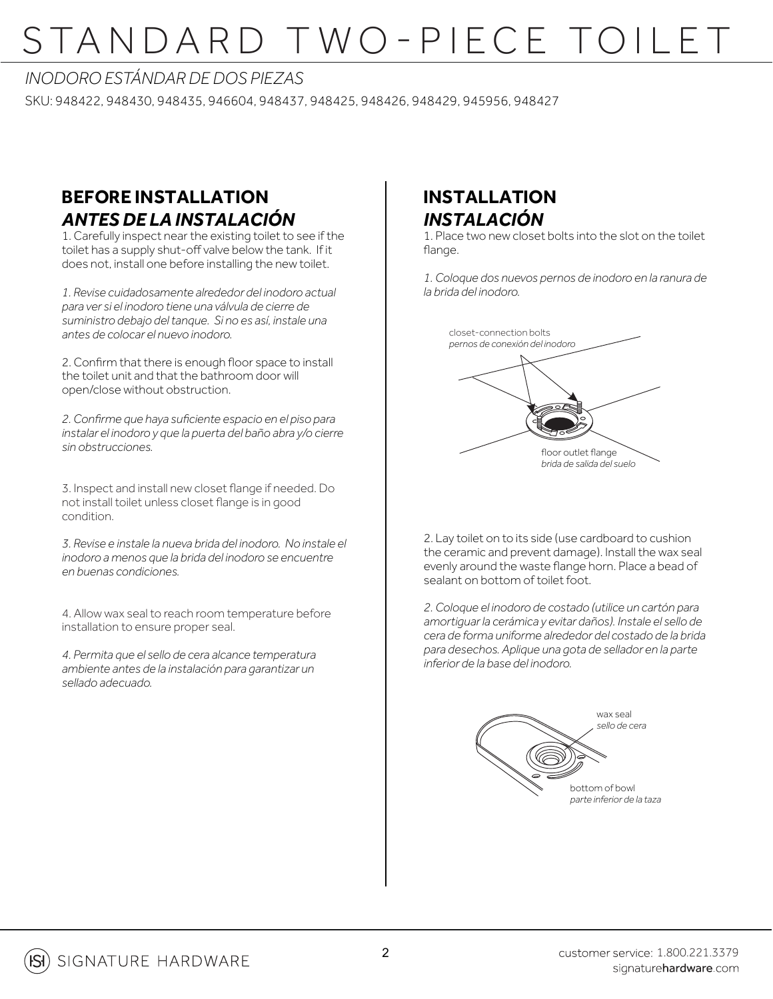# <u>STANDARD TWO-PIECE TOILET</u>

#### *INODORO ESTÁNDAR DE DOS PIEZAS*

SKU: 948422, 948430, 948435, 946604, 948437, 948425, 948426, 948429, 945956, 948427

### **BEFORE INSTALLATION** *ANTES DE LA INSTALACIÓN*

1. Carefully inspect near the existing toilet to see if the toilet has a supply shut-off valve below the tank. If it does not, install one before installing the new toilet.

*1. Revise cuidadosamente alrededor del inodoro actual para ver si el inodoro tiene una válvula de cierre de suministro debajo del tanque. Si no es así, instale una antes de colocar el nuevo inodoro.* 

2. Confirm that there is enough floor space to install the toilet unit and that the bathroom door will open/close without obstruction.

*2. Confirme que haya suficiente espacio en el piso para instalar el inodoro y que la puerta del baño abra y/o cierre sin obstrucciones.*

3. Inspect and install new closet flange if needed. Do not install toilet unless closet flange is in good condition.

*3. Revise e instale la nueva brida del inodoro. No instale el inodoro a menos que la brida del inodoro se encuentre en buenas condiciones.* 

4. Allow wax seal to reach room temperature before installation to ensure proper seal.

*4. Permita que el sello de cera alcance temperatura ambiente antes de la instalación para garantizar un sellado adecuado.*

### **INSTALLATION** *INSTALACIÓN*

1. Place two new closet bolts into the slot on the toilet flange.

*1. Coloque dos nuevos pernos de inodoro en la ranura de la brida del inodoro.*



2. Lay toilet on to its side (use cardboard to cushion the ceramic and prevent damage). Install the wax seal evenly around the waste flange horn. Place a bead of sealant on bottom of toilet foot.

*2. Coloque el inodoro de costado (utilice un cartón para amortiguar la cerámica y evitar daños). Instale el sello de cera de forma uniforme alrededor del costado de la brida para desechos. Aplique una gota de sellador en la parte inferior de la base del inodoro.* 

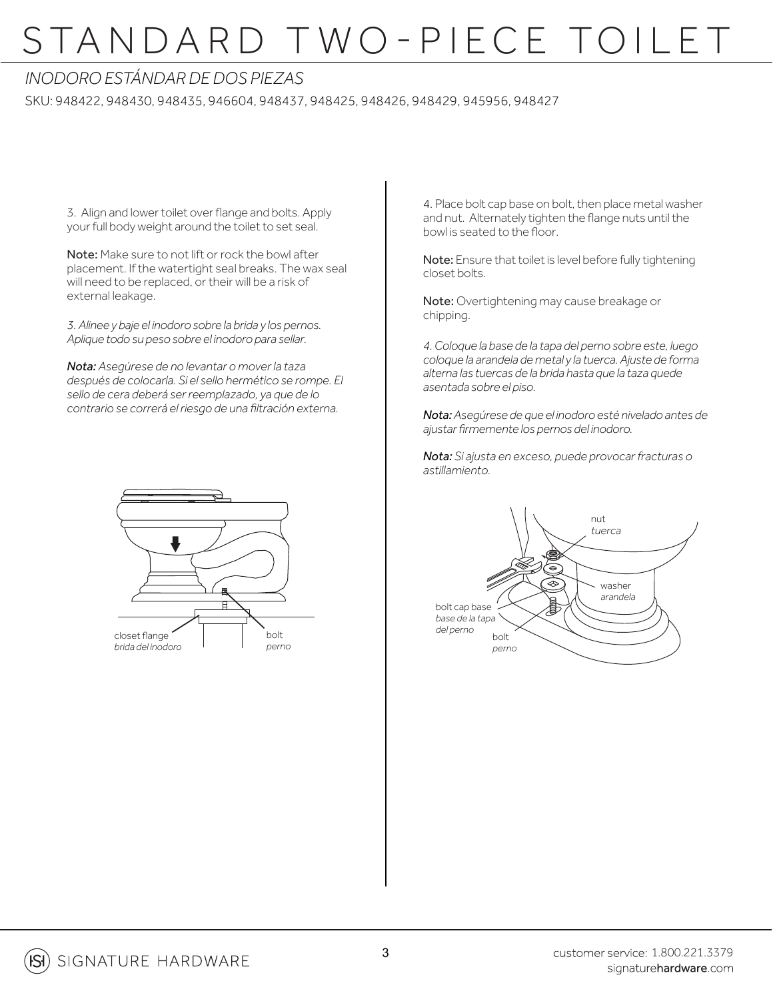### *INODORO ESTÁNDAR DE DOS PIEZAS*

SKU: 948422, 948430, 948435, 946604, 948437, 948425, 948426, 948429, 945956, 948427

3. Align and lower toilet over flange and bolts. Apply your full body weight around the toilet to set seal.

Note: Make sure to not lift or rock the bowl after placement. If the watertight seal breaks. The wax seal will need to be replaced, or their will be a risk of external leakage.

*3. Alinee y baje el inodoro sobre la brida y los pernos. Aplique todo su peso sobre el inodoro para sellar.*

*Nota: Asegúrese de no levantar o mover la taza después de colocarla. Si el sello hermético se rompe. El sello de cera deberá ser reemplazado, ya que de lo contrario se correrá el riesgo de una filtración externa.*



4. Place bolt cap base on bolt, then place metal washer and nut. Alternately tighten the flange nuts until the bowl is seated to the floor.

Note: Ensure that toilet is level before fully tightening closet bolts.

Note: Overtightening may cause breakage or chipping.

*4. Coloque la base de la tapa del perno sobre este, luego coloque la arandela de metal y la tuerca. Ajuste de forma alterna las tuercas de la brida hasta que la taza quede asentada sobre el piso.*

*Nota: Asegúrese de que el inodoro esté nivelado antes de ajustar firmemente los pernos del inodoro.*

*Nota: Si ajusta en exceso, puede provocar fracturas o astillamiento.*

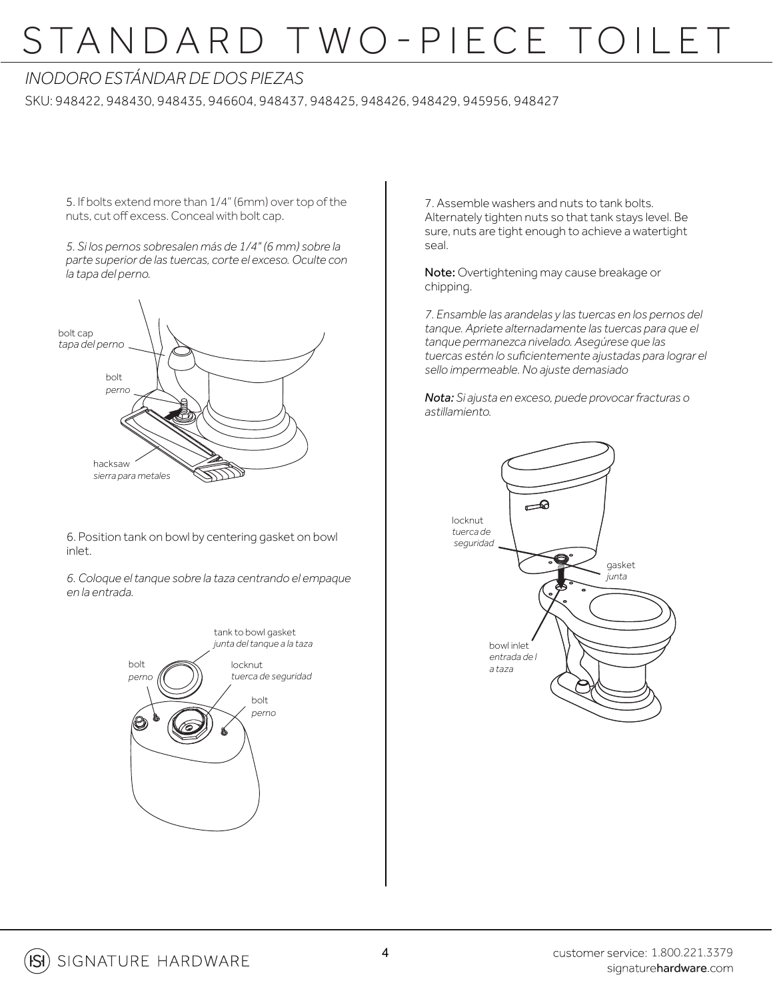### *INODORO ESTÁNDAR DE DOS PIEZAS*

SKU: 948422, 948430, 948435, 946604, 948437, 948425, 948426, 948429, 945956, 948427

5. If bolts extend more than 1/4" (6mm) over top of the nuts, cut off excess. Conceal with bolt cap.

*5. Si los pernos sobresalen más de 1/4" (6 mm) sobre la parte superior de las tuercas, corte el exceso. Oculte con la tapa del perno.*



6. Position tank on bowl by centering gasket on bowl inlet.

*6. Coloque el tanque sobre la taza centrando el empaque en la entrada.*



7. Assemble washers and nuts to tank bolts. Alternately tighten nuts so that tank stays level. Be sure, nuts are tight enough to achieve a watertight seal.

Note: Overtightening may cause breakage or chipping.

*7. Ensamble las arandelas y las tuercas en los pernos del tanque. Apriete alternadamente las tuercas para que el tanque permanezca nivelado. Asegúrese que las tuercas estén lo suficientemente ajustadas para lograr el sello impermeable. No ajuste demasiado*

*Nota: Si ajusta en exceso, puede provocar fracturas o astillamiento.*

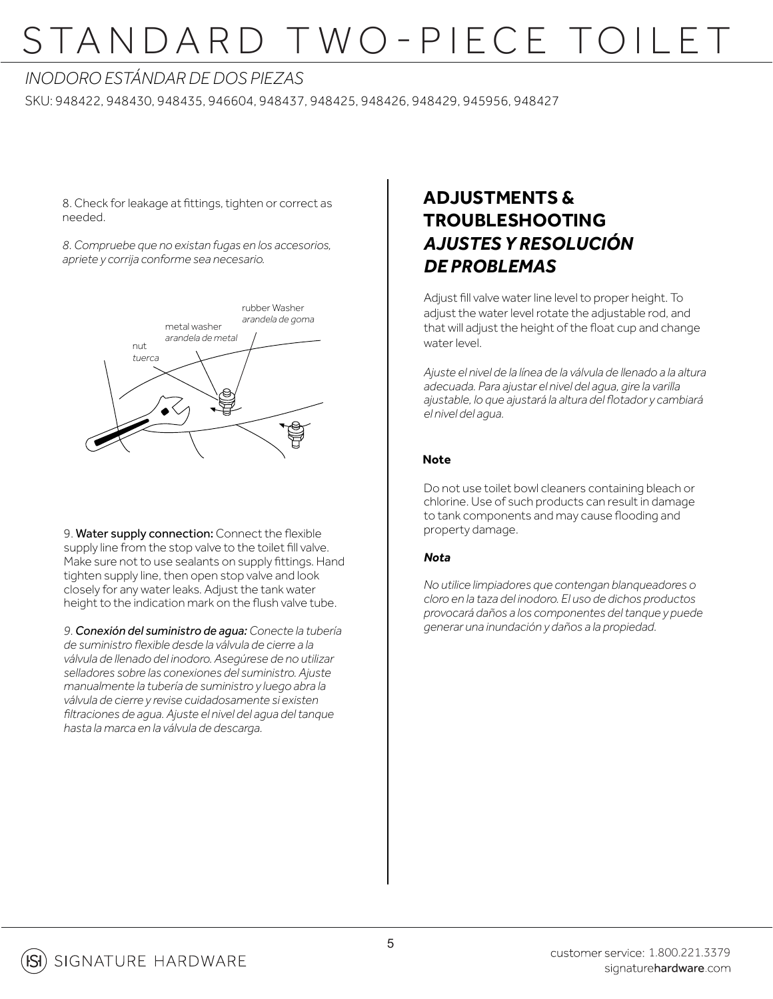### *INODORO ESTÁNDAR DE DOS PIEZAS*

SKU: 948422, 948430, 948435, 946604, 948437, 948425, 948426, 948429, 945956, 948427

8. Check for leakage at fittings, tighten or correct as needed.

*8. Compruebe que no existan fugas en los accesorios, apriete y corrija conforme sea necesario.*



9. Water supply connection: Connect the flexible supply line from the stop valve to the toilet fill valve. Make sure not to use sealants on supply fittings. Hand tighten supply line, then open stop valve and look closely for any water leaks. Adjust the tank water height to the indication mark on the flush valve tube.

*9. Conexión del suministro de agua: Conecte la tubería de suministro flexible desde la válvula de cierre a la válvula de llenado del inodoro. Asegúrese de no utilizar selladores sobre las conexiones del suministro. Ajuste manualmente la tubería de suministro y luego abra la válvula de cierre y revise cuidadosamente si existen filtraciones de agua. Ajuste el nivel del agua del tanque hasta la marca en la válvula de descarga.*

### **ADJUSTMENTS & TROUBLESHOOTING** *AJUSTES Y RESOLUCIÓN DE PROBLEMAS*

Adjust fill valve water line level to proper height. To adjust the water level rotate the adjustable rod, and that will adjust the height of the float cup and change water level.

*Ajuste el nivel de la línea de la válvula de llenado a la altura adecuada. Para ajustar el nivel del agua, gire la varilla ajustable, lo que ajustará la altura del flotador y cambiará el nivel del agua.*

#### **Note**

Do not use toilet bowl cleaners containing bleach or chlorine. Use of such products can result in damage to tank components and may cause flooding and property damage.

#### *Nota*

*No utilice limpiadores que contengan blanqueadores o cloro en la taza del inodoro. El uso de dichos productos provocará daños a los componentes del tanque y puede generar una inundación y daños a la propiedad.*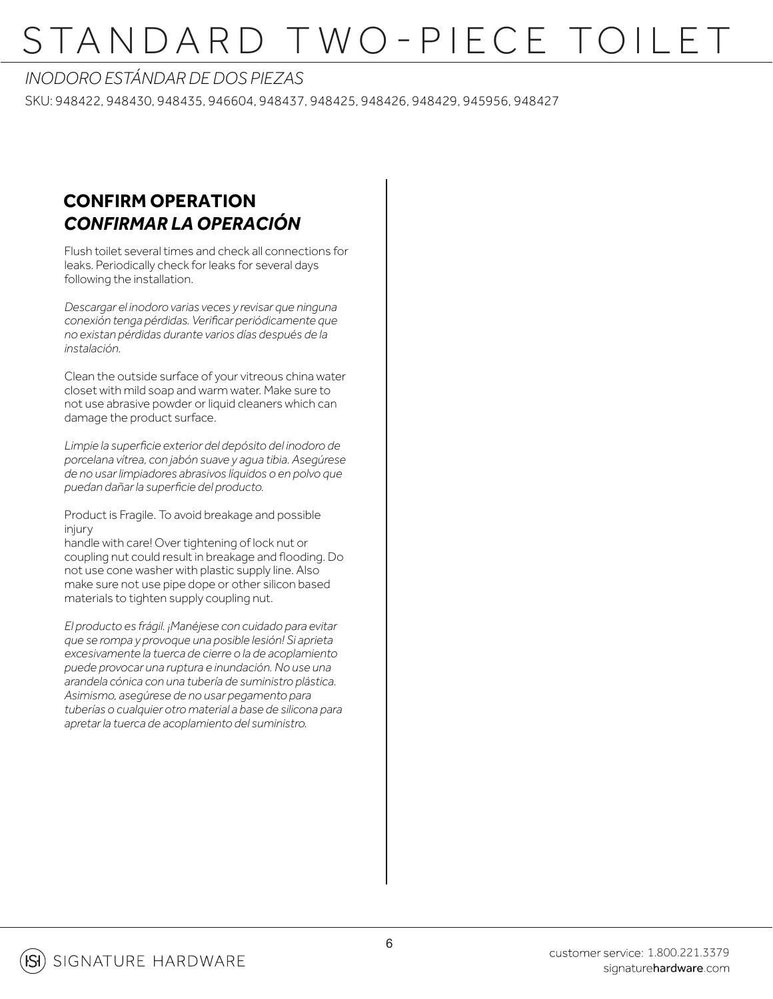#### *INODORO ESTÁNDAR DE DOS PIEZAS*

SKU: 948422, 948430, 948435, 946604, 948437, 948425, 948426, 948429, 945956, 948427

### **CONFIRM OPERATION** *CONFIRMAR LA OPERACIÓN*

Flush toilet several times and check all connections for leaks. Periodically check for leaks for several days following the installation.

*Descargar el inodoro varias veces y revisar que ninguna conexión tenga pérdidas. Verificar periódicamente que no existan pérdidas durante varios días después de la instalación.*

Clean the outside surface of your vitreous china water closet with mild soap and warm water. Make sure to not use abrasive powder or liquid cleaners which can damage the product surface.

*Limpie la superficie exterior del depósito del inodoro de porcelana vítrea, con jabón suave y agua tibia. Asegúrese de no usar limpiadores abrasivos líquidos o en polvo que puedan dañar la superficie del producto.* 

Product is Fragile. To avoid breakage and possible injury

handle with care! Over tightening of lock nut or coupling nut could result in breakage and flooding. Do not use cone washer with plastic supply line. Also make sure not use pipe dope or other silicon based materials to tighten supply coupling nut.

*El producto es frágil. ¡Manéjese con cuidado para evitar que se rompa y provoque una posible lesión! Si aprieta excesivamente la tuerca de cierre o la de acoplamiento puede provocar una ruptura e inundación. No use una arandela cónica con una tubería de suministro plástica. Asimismo, asegúrese de no usar pegamento para tuberías o cualquier otro material a base de silicona para apretar la tuerca de acoplamiento del suministro.*